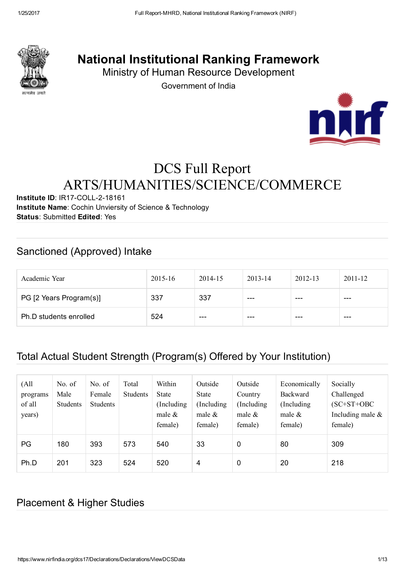

# National Institutional Ranking Framework

Ministry of Human Resource Development

Government of India



# DCS Full Report ARTS/HUMANITIES/SCIENCE/COMMERCE

Institute ID: IR17-COLL-2-18161 Institute Name: Cochin Unviersity of Science & Technology Status: Submitted Edited: Yes

# Sanctioned (Approved) Intake

| Academic Year           | $2015 - 16$ | 2014-15 | $2013 - 14$ | $2012 - 13$ | $2011 - 12$ |
|-------------------------|-------------|---------|-------------|-------------|-------------|
| PG [2 Years Program(s)] | 337         | 337     | $-- -$      | ---         | $---$       |
| Ph.D students enrolled  | 524         | ---     | ---         | ---         | $---$       |

## Total Actual Student Strength (Program(s) Offered by Your Institution)

| (A <sup>11</sup> )<br>programs<br>of all<br>years) | No. of<br>Male<br><b>Students</b> | No. of<br>Female<br><b>Students</b> | Total<br>Students | Within<br>State<br>Including<br>male $\&$<br>female) | Outside<br>State<br>(Including)<br>male $\&$<br>female) | Outside<br>Country<br>(Including)<br>male $\&$<br>female) | Economically<br><b>Backward</b><br>(Including)<br>male $\&$<br>female) | Socially<br>Challenged<br>$(SC+ST+OBC$<br>Including male $\&$<br>female) |
|----------------------------------------------------|-----------------------------------|-------------------------------------|-------------------|------------------------------------------------------|---------------------------------------------------------|-----------------------------------------------------------|------------------------------------------------------------------------|--------------------------------------------------------------------------|
| PG                                                 | 180                               | 393                                 | 573               | 540                                                  | 33                                                      | 0                                                         | 80                                                                     | 309                                                                      |
| Ph.D                                               | 201                               | 323                                 | 524               | 520                                                  | 4                                                       | 0                                                         | 20                                                                     | 218                                                                      |

## Placement & Higher Studies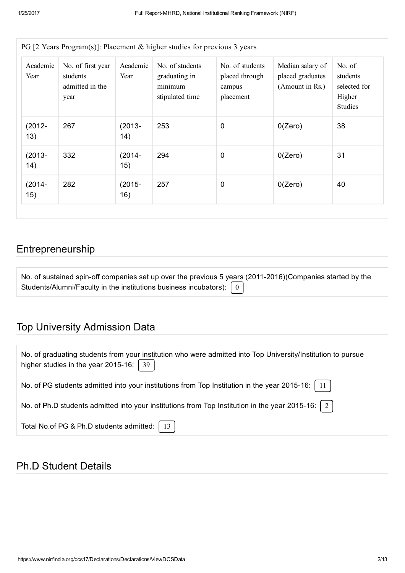| PG [2 Years Program(s)]: Placement $\&$ higher studies for previous 3 years |                                                          |                  |                                                                |                                                          |                                                         |                                                                |  |  |  |
|-----------------------------------------------------------------------------|----------------------------------------------------------|------------------|----------------------------------------------------------------|----------------------------------------------------------|---------------------------------------------------------|----------------------------------------------------------------|--|--|--|
| Academic<br>Year                                                            | No. of first year<br>students<br>admitted in the<br>year | Academic<br>Year | No. of students<br>graduating in<br>minimum<br>stipulated time | No. of students<br>placed through<br>campus<br>placement | Median salary of<br>placed graduates<br>(Amount in Rs.) | No. of<br>students<br>selected for<br>Higher<br><b>Studies</b> |  |  |  |
| $(2012 -$<br>13)                                                            | 267                                                      | $(2013 -$<br>14) | 253                                                            | $\mathbf 0$                                              | 0(Zero)                                                 | 38                                                             |  |  |  |
| $(2013 -$<br>14)                                                            | 332                                                      | $(2014 -$<br>15) | 294                                                            | $\mathbf 0$                                              | O(Zero)                                                 | 31                                                             |  |  |  |
| $(2014 -$<br>15)                                                            | 282                                                      | $(2015 -$<br>16) | 257                                                            | 0                                                        | 0(Zero)                                                 | 40                                                             |  |  |  |

## Entrepreneurship

| No. of sustained spin-off companies set up over the previous 5 years (2011-2016) (Companies started by the |  |
|------------------------------------------------------------------------------------------------------------|--|
| Students/Alumni/Faculty in the institutions business incubators): $\begin{bmatrix} 0 \end{bmatrix}$        |  |

## Top University Admission Data

| No. of graduating students from your institution who were admitted into Top University/Institution to pursue<br>higher studies in the year 2015-16: $\vert$ 39 |
|----------------------------------------------------------------------------------------------------------------------------------------------------------------|
| No. of PG students admitted into your institutions from Top Institution in the year 2015-16:   11                                                              |
| No. of Ph.D students admitted into your institutions from Top Institution in the year 2015-16: $\mid 2 \mid$                                                   |
| Total No.of PG & Ph.D students admitted:   13                                                                                                                  |

#### Ph.D Student Details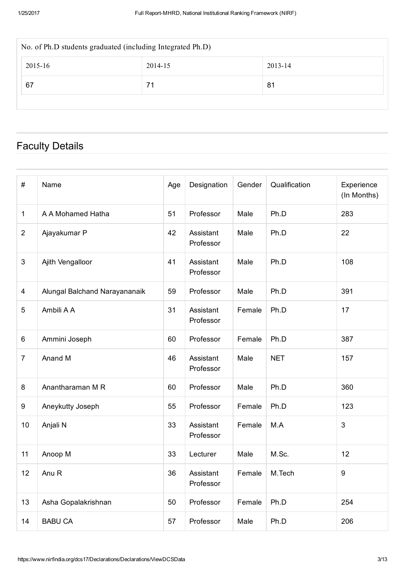| No. of Ph.D students graduated (including Integrated Ph.D) |         |         |  |  |  |  |  |
|------------------------------------------------------------|---------|---------|--|--|--|--|--|
| 2015-16                                                    | 2014-15 | 2013-14 |  |  |  |  |  |
| 67                                                         | 71      | -81     |  |  |  |  |  |
|                                                            |         |         |  |  |  |  |  |

# Faculty Details

| $\#$           | Name                          | Age | Designation            | Gender | Qualification | Experience<br>(In Months) |
|----------------|-------------------------------|-----|------------------------|--------|---------------|---------------------------|
| 1              | A A Mohamed Hatha             | 51  | Professor              | Male   | Ph.D          | 283                       |
| $\overline{2}$ | Ajayakumar P                  | 42  | Assistant<br>Professor | Male   | Ph.D          | 22                        |
| $\mathbf{3}$   | Ajith Vengalloor              | 41  | Assistant<br>Professor | Male   | Ph.D          | 108                       |
| 4              | Alungal Balchand Narayananaik | 59  | Professor              | Male   | Ph.D          | 391                       |
| 5              | Ambili A A                    | 31  | Assistant<br>Professor | Female | Ph.D          | 17                        |
| 6              | Ammini Joseph                 | 60  | Professor              | Female | Ph.D          | 387                       |
| $\overline{7}$ | Anand M                       | 46  | Assistant<br>Professor | Male   | <b>NET</b>    | 157                       |
| 8              | Anantharaman M R              | 60  | Professor              | Male   | Ph.D          | 360                       |
| 9              | Aneykutty Joseph              | 55  | Professor              | Female | Ph.D          | 123                       |
| 10             | Anjali N                      | 33  | Assistant<br>Professor | Female | M.A           | $\mathfrak{S}$            |
| 11             | Anoop M                       | 33  | Lecturer               | Male   | M.Sc.         | 12                        |
| 12             | Anu R                         | 36  | Assistant<br>Professor | Female | M.Tech        | $\boldsymbol{9}$          |
| 13             | Asha Gopalakrishnan           | 50  | Professor              | Female | Ph.D          | 254                       |
| 14             | <b>BABU CA</b>                | 57  | Professor              | Male   | Ph.D          | 206                       |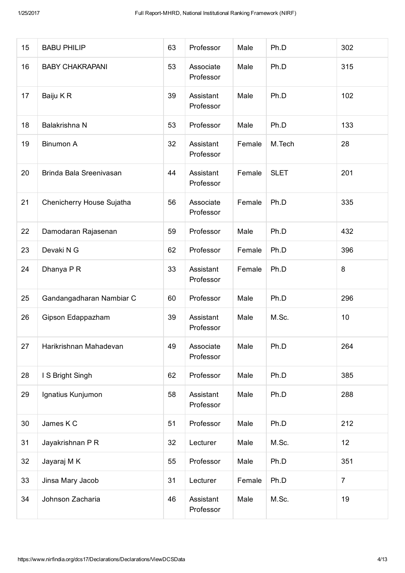| 15 | <b>BABU PHILIP</b>        | 63 | Professor              | Male   | Ph.D        | 302            |
|----|---------------------------|----|------------------------|--------|-------------|----------------|
| 16 | <b>BABY CHAKRAPANI</b>    | 53 | Associate<br>Professor | Male   | Ph.D        | 315            |
| 17 | Baiju KR                  | 39 | Assistant<br>Professor | Male   | Ph.D        | 102            |
| 18 | Balakrishna N             | 53 | Professor              | Male   | Ph.D        | 133            |
| 19 | Binumon A                 | 32 | Assistant<br>Professor | Female | M.Tech      | 28             |
| 20 | Brinda Bala Sreenivasan   | 44 | Assistant<br>Professor | Female | <b>SLET</b> | 201            |
| 21 | Chenicherry House Sujatha | 56 | Associate<br>Professor | Female | Ph.D        | 335            |
| 22 | Damodaran Rajasenan       | 59 | Professor              | Male   | Ph.D        | 432            |
| 23 | Devaki N G                | 62 | Professor              | Female | Ph.D        | 396            |
| 24 | Dhanya P R                | 33 | Assistant<br>Professor | Female | Ph.D        | 8              |
| 25 | Gandangadharan Nambiar C  | 60 | Professor              | Male   | Ph.D        | 296            |
| 26 | Gipson Edappazham         | 39 | Assistant<br>Professor | Male   | M.Sc.       | 10             |
| 27 | Harikrishnan Mahadevan    | 49 | Associate<br>Professor | Male   | Ph.D        | 264            |
| 28 | I S Bright Singh          | 62 | Professor              | Male   | Ph.D        | 385            |
| 29 | Ignatius Kunjumon         | 58 | Assistant<br>Professor | Male   | Ph.D        | 288            |
| 30 | James K C                 | 51 | Professor              | Male   | Ph.D        | 212            |
| 31 | Jayakrishnan P R          | 32 | Lecturer               | Male   | M.Sc.       | 12             |
| 32 | Jayaraj M K               | 55 | Professor              | Male   | Ph.D        | 351            |
| 33 | Jinsa Mary Jacob          | 31 | Lecturer               | Female | Ph.D        | $\overline{7}$ |
| 34 | Johnson Zacharia          | 46 | Assistant<br>Professor | Male   | M.Sc.       | 19             |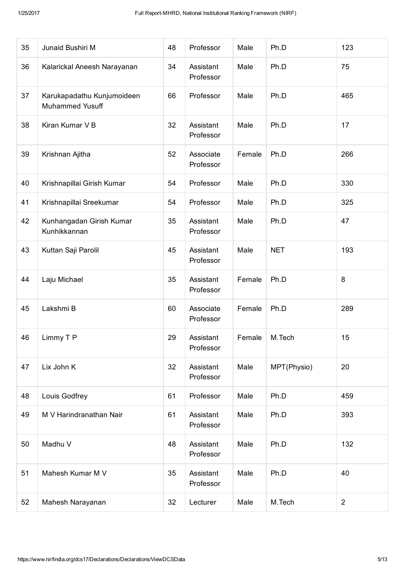| 35 | Junaid Bushiri M                                     | 48 | Professor              | Male   | Ph.D        | 123            |
|----|------------------------------------------------------|----|------------------------|--------|-------------|----------------|
| 36 | Kalarickal Aneesh Narayanan                          | 34 | Assistant<br>Professor | Male   | Ph.D        | 75             |
| 37 | Karukapadathu Kunjumoideen<br><b>Muhammed Yusuff</b> | 66 | Professor              | Male   | Ph.D        | 465            |
| 38 | Kiran Kumar V B                                      | 32 | Assistant<br>Professor | Male   | Ph.D        | 17             |
| 39 | Krishnan Ajitha                                      | 52 | Associate<br>Professor | Female | Ph.D        | 266            |
| 40 | Krishnapillai Girish Kumar                           | 54 | Professor              | Male   | Ph.D        | 330            |
| 41 | Krishnapillai Sreekumar                              | 54 | Professor              | Male   | Ph.D        | 325            |
| 42 | Kunhangadan Girish Kumar<br>Kunhikkannan             | 35 | Assistant<br>Professor | Male   | Ph.D        | 47             |
| 43 | Kuttan Saji Parolil                                  | 45 | Assistant<br>Professor | Male   | <b>NET</b>  | 193            |
| 44 | Laju Michael                                         | 35 | Assistant<br>Professor | Female | Ph.D        | 8              |
| 45 | Lakshmi B                                            | 60 | Associate<br>Professor | Female | Ph.D        | 289            |
| 46 | Limmy T P                                            | 29 | Assistant<br>Professor | Female | M.Tech      | 15             |
| 47 | Lix John K                                           | 32 | Assistant<br>Professor | Male   | MPT(Physio) | 20             |
| 48 | Louis Godfrey                                        | 61 | Professor              | Male   | Ph.D        | 459            |
| 49 | M V Harindranathan Nair                              | 61 | Assistant<br>Professor | Male   | Ph.D        | 393            |
| 50 | Madhu V                                              | 48 | Assistant<br>Professor | Male   | Ph.D        | 132            |
| 51 | Mahesh Kumar M V                                     | 35 | Assistant<br>Professor | Male   | Ph.D        | 40             |
| 52 | Mahesh Narayanan                                     | 32 | Lecturer               | Male   | M.Tech      | $\overline{2}$ |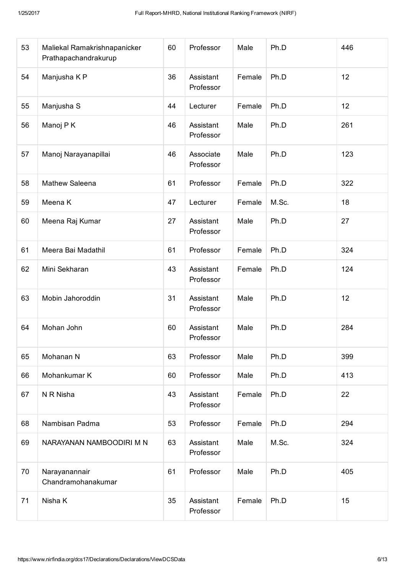| 53 | Maliekal Ramakrishnapanicker<br>Prathapachandrakurup | 60 | Professor              | Male   | Ph.D  | 446 |
|----|------------------------------------------------------|----|------------------------|--------|-------|-----|
| 54 | Manjusha K P                                         | 36 | Assistant<br>Professor | Female | Ph.D  | 12  |
| 55 | Manjusha S                                           | 44 | Lecturer               | Female | Ph.D  | 12  |
| 56 | Manoj P K                                            | 46 | Assistant<br>Professor | Male   | Ph.D  | 261 |
| 57 | Manoj Narayanapillai                                 | 46 | Associate<br>Professor | Male   | Ph.D  | 123 |
| 58 | Mathew Saleena                                       | 61 | Professor              | Female | Ph.D  | 322 |
| 59 | Meena K                                              | 47 | Lecturer               | Female | M.Sc. | 18  |
| 60 | Meena Raj Kumar                                      | 27 | Assistant<br>Professor | Male   | Ph.D  | 27  |
| 61 | Meera Bai Madathil                                   | 61 | Professor              | Female | Ph.D  | 324 |
| 62 | Mini Sekharan                                        | 43 | Assistant<br>Professor | Female | Ph.D  | 124 |
| 63 | Mobin Jahoroddin                                     | 31 | Assistant<br>Professor | Male   | Ph.D  | 12  |
| 64 | Mohan John                                           | 60 | Assistant<br>Professor | Male   | Ph.D  | 284 |
| 65 | Mohanan N                                            | 63 | Professor              | Male   | Ph.D  | 399 |
| 66 | Mohankumar K                                         | 60 | Professor              | Male   | Ph.D  | 413 |
| 67 | N R Nisha                                            | 43 | Assistant<br>Professor | Female | Ph.D  | 22  |
| 68 | Nambisan Padma                                       | 53 | Professor              | Female | Ph.D  | 294 |
| 69 | NARAYANAN NAMBOODIRI M N                             | 63 | Assistant<br>Professor | Male   | M.Sc. | 324 |
| 70 | Narayanannair<br>Chandramohanakumar                  | 61 | Professor              | Male   | Ph.D  | 405 |
| 71 | Nisha K                                              | 35 | Assistant<br>Professor | Female | Ph.D  | 15  |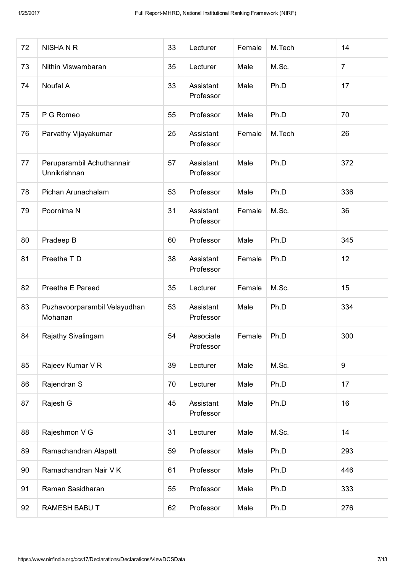| 72 | <b>NISHANR</b>                            | 33 | Lecturer               | Female | M.Tech | 14             |
|----|-------------------------------------------|----|------------------------|--------|--------|----------------|
| 73 | Nithin Viswambaran                        | 35 | Lecturer               | Male   | M.Sc.  | $\overline{7}$ |
| 74 | Noufal A                                  | 33 | Assistant<br>Professor | Male   | Ph.D   | 17             |
| 75 | P G Romeo                                 | 55 | Professor              | Male   | Ph.D   | 70             |
| 76 | Parvathy Vijayakumar                      | 25 | Assistant<br>Professor | Female | M.Tech | 26             |
| 77 | Peruparambil Achuthannair<br>Unnikrishnan | 57 | Assistant<br>Professor | Male   | Ph.D   | 372            |
| 78 | Pichan Arunachalam                        | 53 | Professor              | Male   | Ph.D   | 336            |
| 79 | Poornima <sub>N</sub>                     | 31 | Assistant<br>Professor | Female | M.Sc.  | 36             |
| 80 | Pradeep B                                 | 60 | Professor              | Male   | Ph.D   | 345            |
| 81 | Preetha T D                               | 38 | Assistant<br>Professor | Female | Ph.D   | 12             |
| 82 | Preetha E Pareed                          | 35 | Lecturer               | Female | M.Sc.  | 15             |
| 83 | Puzhavoorparambil Velayudhan<br>Mohanan   | 53 | Assistant<br>Professor | Male   | Ph.D   | 334            |
| 84 | Rajathy Sivalingam                        | 54 | Associate<br>Professor | Female | Ph.D   | 300            |
| 85 | Rajeev Kumar V R                          | 39 | Lecturer               | Male   | M.Sc.  | 9              |
| 86 | Rajendran S                               | 70 | Lecturer               | Male   | Ph.D   | 17             |
| 87 | Rajesh G                                  | 45 | Assistant<br>Professor | Male   | Ph.D   | 16             |
| 88 | Rajeshmon V G                             | 31 | Lecturer               | Male   | M.Sc.  | 14             |
| 89 | Ramachandran Alapatt                      | 59 | Professor              | Male   | Ph.D   | 293            |
| 90 | Ramachandran Nair V K                     | 61 | Professor              | Male   | Ph.D   | 446            |
| 91 | Raman Sasidharan                          | 55 | Professor              | Male   | Ph.D   | 333            |
| 92 | RAMESH BABU T                             | 62 | Professor              | Male   | Ph.D   | 276            |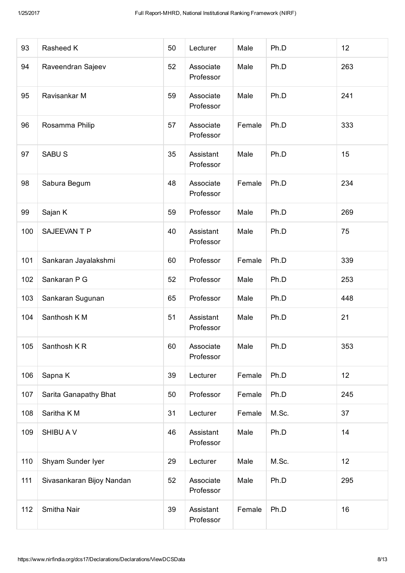| 93  | Rasheed K                 | 50 | Lecturer               | Male   | Ph.D  | 12  |
|-----|---------------------------|----|------------------------|--------|-------|-----|
| 94  | Raveendran Sajeev         | 52 | Associate<br>Professor | Male   | Ph.D  | 263 |
| 95  | Ravisankar M              | 59 | Associate<br>Professor | Male   | Ph.D  | 241 |
| 96  | Rosamma Philip            | 57 | Associate<br>Professor | Female | Ph.D  | 333 |
| 97  | <b>SABUS</b>              | 35 | Assistant<br>Professor | Male   | Ph.D  | 15  |
| 98  | Sabura Begum              | 48 | Associate<br>Professor | Female | Ph.D  | 234 |
| 99  | Sajan K                   | 59 | Professor              | Male   | Ph.D  | 269 |
| 100 | SAJEEVAN T P              | 40 | Assistant<br>Professor | Male   | Ph.D  | 75  |
| 101 | Sankaran Jayalakshmi      | 60 | Professor              | Female | Ph.D  | 339 |
| 102 | Sankaran P G              | 52 | Professor              | Male   | Ph.D  | 253 |
| 103 | Sankaran Sugunan          | 65 | Professor              | Male   | Ph.D  | 448 |
| 104 | Santhosh KM               | 51 | Assistant<br>Professor | Male   | Ph.D  | 21  |
| 105 | Santhosh KR               | 60 | Associate<br>Professor | Male   | Ph.D  | 353 |
| 106 | Sapna K                   | 39 | Lecturer               | Female | Ph.D  | 12  |
| 107 | Sarita Ganapathy Bhat     | 50 | Professor              | Female | Ph.D  | 245 |
| 108 | Saritha K M               | 31 | Lecturer               | Female | M.Sc. | 37  |
| 109 | SHIBU A V                 | 46 | Assistant<br>Professor | Male   | Ph.D  | 14  |
| 110 | Shyam Sunder Iyer         | 29 | Lecturer               | Male   | M.Sc. | 12  |
| 111 | Sivasankaran Bijoy Nandan | 52 | Associate<br>Professor | Male   | Ph.D  | 295 |
| 112 | Smitha Nair               | 39 | Assistant<br>Professor | Female | Ph.D  | 16  |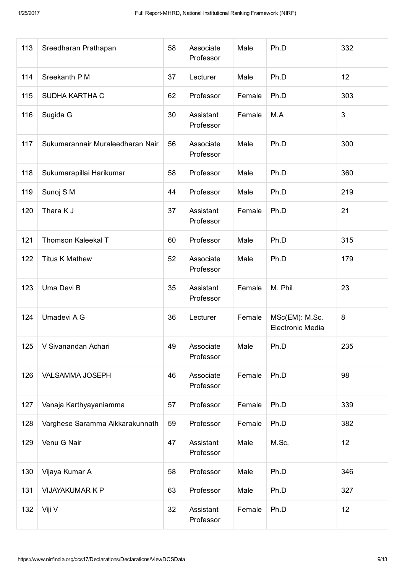| 113 | Sreedharan Prathapan             | 58 | Associate<br>Professor | Male   | Ph.D                               | 332            |
|-----|----------------------------------|----|------------------------|--------|------------------------------------|----------------|
| 114 | Sreekanth P M                    | 37 | Lecturer               | Male   | Ph.D                               | 12             |
| 115 | SUDHA KARTHA C                   | 62 | Professor              | Female | Ph.D                               | 303            |
| 116 | Sugida G                         | 30 | Assistant<br>Professor | Female | M.A                                | $\mathfrak{3}$ |
| 117 | Sukumarannair Muraleedharan Nair | 56 | Associate<br>Professor | Male   | Ph.D                               | 300            |
| 118 | Sukumarapillai Harikumar         | 58 | Professor              | Male   | Ph.D                               | 360            |
| 119 | Sunoj S M                        | 44 | Professor              | Male   | Ph.D                               | 219            |
| 120 | Thara K J                        | 37 | Assistant<br>Professor | Female | Ph.D                               | 21             |
| 121 | Thomson Kaleekal T               | 60 | Professor              | Male   | Ph.D                               | 315            |
| 122 | <b>Titus K Mathew</b>            | 52 | Associate<br>Professor | Male   | Ph.D                               | 179            |
| 123 | Uma Devi B                       | 35 | Assistant<br>Professor | Female | M. Phil                            | 23             |
| 124 | Umadevi A G                      | 36 | Lecturer               | Female | MSc(EM): M.Sc.<br>Electronic Media | 8              |
| 125 | V Sivanandan Achari              | 49 | Associate<br>Professor | Male   | Ph.D                               | 235            |
| 126 | VALSAMMA JOSEPH                  | 46 | Associate<br>Professor | Female | Ph.D                               | 98             |
| 127 | Vanaja Karthyayaniamma           | 57 | Professor              | Female | Ph.D                               | 339            |
| 128 | Varghese Saramma Aikkarakunnath  | 59 | Professor              | Female | Ph.D                               | 382            |
| 129 | Venu G Nair                      | 47 | Assistant<br>Professor | Male   | M.Sc.                              | 12             |
| 130 | Vijaya Kumar A                   | 58 | Professor              | Male   | Ph.D                               | 346            |
| 131 | <b>VIJAYAKUMAR K P</b>           | 63 | Professor              | Male   | Ph.D                               | 327            |
| 132 | Viji V                           | 32 | Assistant<br>Professor | Female | Ph.D                               | 12             |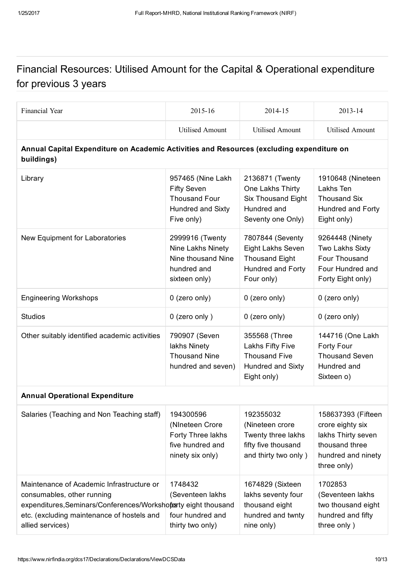# Financial Resources: Utilised Amount for the Capital & Operational expenditure for previous 3 years

| Financial Year                                                                                                                                                                                              | 2015-16                                                                                            | 2014-15                                                                                                  | 2013-14                                                                                                             |  |  |  |
|-------------------------------------------------------------------------------------------------------------------------------------------------------------------------------------------------------------|----------------------------------------------------------------------------------------------------|----------------------------------------------------------------------------------------------------------|---------------------------------------------------------------------------------------------------------------------|--|--|--|
|                                                                                                                                                                                                             | <b>Utilised Amount</b>                                                                             | <b>Utilised Amount</b>                                                                                   | <b>Utilised Amount</b>                                                                                              |  |  |  |
| Annual Capital Expenditure on Academic Activities and Resources (excluding expenditure on<br>buildings)                                                                                                     |                                                                                                    |                                                                                                          |                                                                                                                     |  |  |  |
| Library                                                                                                                                                                                                     | 957465 (Nine Lakh<br><b>Fifty Seven</b><br><b>Thousand Four</b><br>Hundred and Sixty<br>Five only) | 2136871 (Twenty<br>One Lakhs Thirty<br>Six Thousand Eight<br>Hundred and<br>Seventy one Only)            | 1910648 (Nineteen<br>Lakhs Ten<br><b>Thousand Six</b><br>Hundred and Forty<br>Eight only)                           |  |  |  |
| New Equipment for Laboratories                                                                                                                                                                              | 2999916 (Twenty<br>Nine Lakhs Ninety<br>Nine thousand Nine<br>hundred and<br>sixteen only)         | 7807844 (Seventy<br><b>Eight Lakhs Seven</b><br><b>Thousand Eight</b><br>Hundred and Forty<br>Four only) | 9264448 (Ninety<br><b>Two Lakhs Sixty</b><br>Four Thousand<br>Four Hundred and<br>Forty Eight only)                 |  |  |  |
| <b>Engineering Workshops</b>                                                                                                                                                                                | 0 (zero only)                                                                                      | 0 (zero only)                                                                                            | 0 (zero only)                                                                                                       |  |  |  |
| <b>Studios</b>                                                                                                                                                                                              | 0 (zero only)                                                                                      | 0 (zero only)                                                                                            | 0 (zero only)                                                                                                       |  |  |  |
| Other suitably identified academic activities                                                                                                                                                               | 790907 (Seven<br>lakhs Ninety<br><b>Thousand Nine</b><br>hundred and seven)                        | 355568 (Three<br>Lakhs Fifty Five<br><b>Thousand Five</b><br><b>Hundred and Sixty</b><br>Eight only)     | 144716 (One Lakh<br>Forty Four<br><b>Thousand Seven</b><br>Hundred and<br>Sixteen o)                                |  |  |  |
| <b>Annual Operational Expenditure</b>                                                                                                                                                                       |                                                                                                    |                                                                                                          |                                                                                                                     |  |  |  |
| Salaries (Teaching and Non Teaching staff)                                                                                                                                                                  | 194300596<br>(NIneteen Crore<br>Forty Three lakhs<br>five hundred and<br>ninety six only)          | 192355032<br>(Nineteen crore<br>Twenty three lakhs<br>fifty five thousand<br>and thirty two only)        | 158637393 (Fifteen<br>crore eighty six<br>lakhs Thirty seven<br>thousand three<br>hundred and ninety<br>three only) |  |  |  |
| Maintenance of Academic Infrastructure or<br>consumables, other running<br>expenditures, Seminars/Conferences/Workshoforty eight thousand<br>etc. (excluding maintenance of hostels and<br>allied services) | 1748432<br>(Seventeen lakhs<br>four hundred and<br>thirty two only)                                | 1674829 (Sixteen<br>lakhs seventy four<br>thousand eight<br>hundred and twnty<br>nine only)              | 1702853<br>(Seventeen lakhs<br>two thousand eight<br>hundred and fifty<br>three only)                               |  |  |  |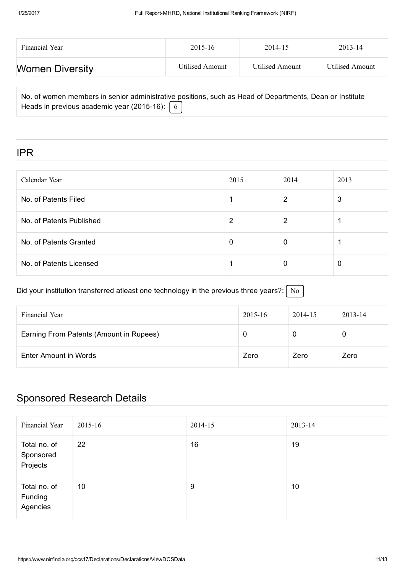| Financial Year         | $2015 - 16$     | 2014-15                | 2013-14         |
|------------------------|-----------------|------------------------|-----------------|
| <b>Women Diversity</b> | Utilised Amount | <b>Utilised Amount</b> | Utilised Amount |

No. of women members in senior administrative positions, such as Head of Departments, Dean or Institute Heads in previous academic year (2015-16):  $\boxed{6}$ 

#### IPR

| Calendar Year            | 2015 | 2014 | 2013 |
|--------------------------|------|------|------|
| No. of Patents Filed     |      | 2    | 3    |
| No. of Patents Published | 2    | 2    |      |
| No. of Patents Granted   | 0    | 0    |      |
| No. of Patents Licensed  |      | 0    | 0    |

Did your institution transferred atleast one technology in the previous three years?:  $\sqrt{\phantom{a}}$  No

| Financial Year                          | 2015-16 | 2014-15 | 2013-14 |
|-----------------------------------------|---------|---------|---------|
| Earning From Patents (Amount in Rupees) |         |         |         |
| Enter Amount in Words                   | Zero    | Zero    | Zero    |

## Sponsored Research Details

| Financial Year                        | 2015-16 | 2014-15 | 2013-14 |
|---------------------------------------|---------|---------|---------|
| Total no. of<br>Sponsored<br>Projects | 22      | 16      | 19      |
| Total no. of<br>Funding<br>Agencies   | 10      | 9       | 10      |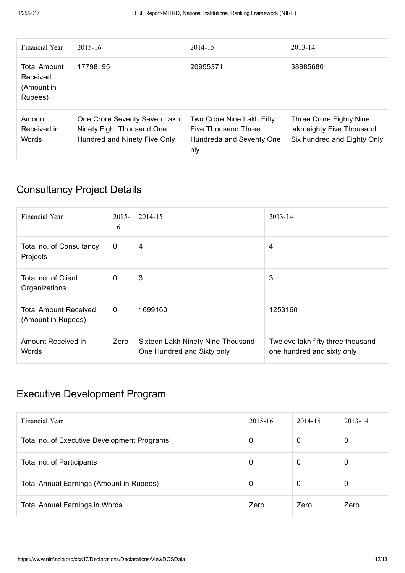| Financial Year                                           | $2015 - 16$                                                                               | 2014-15                                                                                    | $2013 - 14$                                                                         |
|----------------------------------------------------------|-------------------------------------------------------------------------------------------|--------------------------------------------------------------------------------------------|-------------------------------------------------------------------------------------|
| <b>Total Amount</b><br>Received<br>(Amount in<br>Rupees) | 17798195                                                                                  | 20955371                                                                                   | 38985680                                                                            |
| Amount<br>Received in<br><b>Words</b>                    | One Crore Seventy Seven Lakh<br>Ninety Eight Thousand One<br>Hundred and Ninety Five Only | Two Crore Nine Lakh Fifty<br><b>Five Thousand Three</b><br>Hundreda and Seventy One<br>nly | Three Crore Eighty Nine<br>lakh eighty Five Thousand<br>Six hundred and Eighty Only |

# Consultancy Project Details

| Financial Year                                     | $2015 -$<br>16 | 2014-15                                                         | 2013-14                                                         |
|----------------------------------------------------|----------------|-----------------------------------------------------------------|-----------------------------------------------------------------|
| Total no. of Consultancy<br>Projects               | $\mathbf 0$    | 4                                                               | 4                                                               |
| Total no. of Client<br>Organizations               | 0              | 3                                                               | 3                                                               |
| <b>Total Amount Received</b><br>(Amount in Rupees) | $\mathbf 0$    | 1699160                                                         | 1253160                                                         |
| Amount Received in<br>Words                        | Zero           | Sixteen Lakh Ninety Nine Thousand<br>One Hundred and Sixty only | Tweleve lakh fifty three thousand<br>one hundred and sixty only |

## Executive Development Program

| Financial Year                                  | $2015 - 16$ | 2014-15 | $2013 - 14$ |
|-------------------------------------------------|-------------|---------|-------------|
| Total no. of Executive Development Programs     | 0           | 0       | 0           |
| Total no. of Participants                       | 0           | 0       | 0           |
| <b>Total Annual Earnings (Amount in Rupees)</b> | 0           | 0       | 0           |
| <b>Total Annual Earnings in Words</b>           | Zero        | Zero    | Zero        |